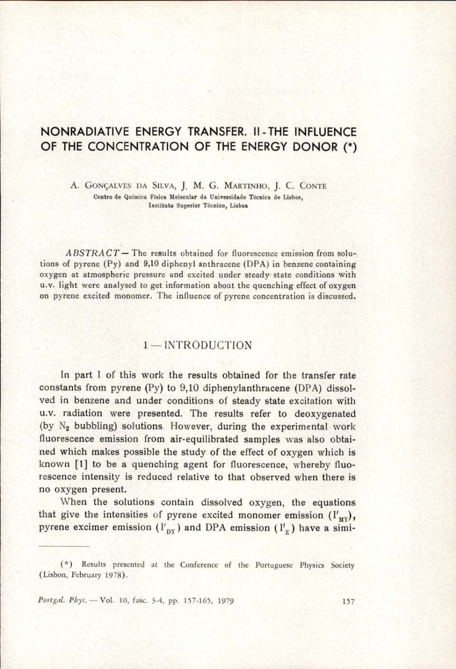# NONRADIATIVE ENERGY TRANSFER. II -THE INFLUENCE OF THE CONCENTRATION OF THE ENERGY DONOR (\*)

A. GONGALVES DA SILvA, J, M. G. MARTINHO, J. C. CONTE Centro de Quimica Fisica Molecular da Universidade Técnica de Lisboa, Instituto Superior Técnico, Lisboa

 $ABSTRACT$  – The results obtained for fluorescence emission from solutions of pyrene (Py) and 9,10 diphenyl anthracene (DPA) in benzene containing oxygen at atmospheric pressure and excited under steady-state conditions with u.v. light were analysed to get information about the quenching effect of oxygen on pyrene excited monomer. The influence of pyrene concentration is discussed.

## 1 — INTRODUCTION

 u.v. radiation were presented. The results refer to deoxygenated In part I of this work the results obtained for the transfer rate constants from pyrene (Py) to 9,10 diphenylanthracene (DPA) dissolved in benzene and under conditions of steady state excitation with (by  $N_2$  bubbling) solutions. However, during the experimental work fluorescence emission from air-equilibrated samples was also obtained which makes possible the study of the effect of oxygen which is known [1] to be a quenching agent for fluorescence, whereby fluorescence intensity is reduced relative to that observed when there is no oxygen present.

> When the solutions contain dissolved oxygen, the equations that give the intensities of pyrene excited monomer emission  $(I'_{\text{MV}})$ , pyrene excimer emission  $(I'_{\text{nv}})$  and DPA emission  $(I'_{\text{z}})$  have a simi-

Portgal. Phys. - Vol. 10, fasc. 3-4, pp. 157-165, 1979 157

<sup>(\*)</sup> Results presented at the Conference of the Portuguese Physics Society (Lisbon, February 1978).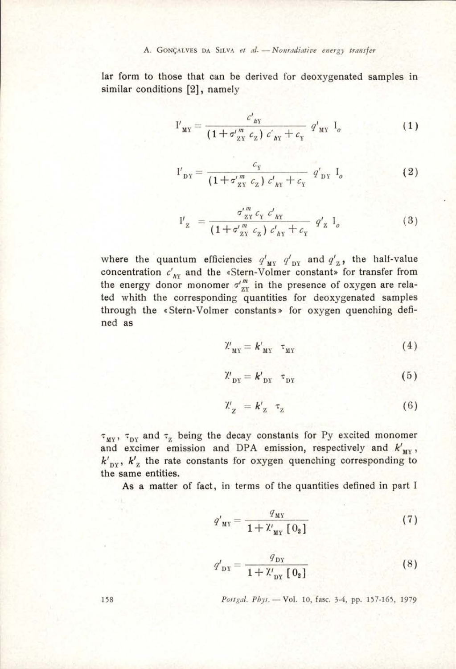lar form to those that can be derived for deoxygenated samples in similar conditions [2], namely

$$
I'_{\text{MY}} = \frac{c'_{\text{MY}}}{(1 + \sigma''_{\text{ZY}} c_{\text{Z}}) c'_{\text{AY}} + c_{\text{Y}}} q'_{\text{MY}} I_o
$$
 (1)

$$
I'_{DY} = \frac{c_Y}{(1 + \sigma_{ZY}^{\prime m} c_Z) c'_{BY} + c_Y} q'_{DY} I_o
$$
 (2)

$$
I'_{z} = \frac{\sigma_{zY}^{m} c_{x} c'_{yY}}{(1 + \sigma_{zX}^{m} c_{z}) c'_{yY} + c_{y} q'_{z} I_{o}}
$$
(3)

where the quantum efficiencies  $q'_{\text{MY}}$   $q'_{\text{DY}}$  and  $q'_{\text{Z}}$ , the half-value concentration  $c'_{N}$  and the «Stern-Volmer constant» for transfer from the energy donor monomer  $\sigma''_{zx}$  in the presence of oxygen are related whith the corresponding quantities for deoxygenated samples through the «Stern-Volmer constants» for oxygen quenching defined as

$$
\mathcal{X}'_{\mathbf{M}\mathbf{Y}} = \mathbf{k}'_{\mathbf{M}\mathbf{Y}} \quad \tau_{\mathbf{M}\mathbf{Y}} \tag{4}
$$

$$
\mathcal{X}'_{\text{DY}} = \mathbf{k'}_{\text{DY}} \quad \tau_{\text{DY}} \tag{5}
$$

$$
\mathcal{X}'_z = k'_z \ \tau_z \tag{6}
$$

 $\tau_{\text{MY}}$ ,  $\tau_{\text{DY}}$  and  $\tau_{\text{Z}}$  being the decay constants for Py excited monomer and excimer emission and DPA emission, respectively and  $k'_{\text{MY}}$ ,  $k'_{\text{DY}}$ ,  $k'_{\text{Z}}$  the rate constants for oxygen quenching corresponding to the same entities.

As a matter of fact, in terms of the quantities defined in part I

$$
q'_{\text{MY}} = \frac{q_{\text{MY}}}{1 + \mathcal{X}_{\text{MY}} \left[ 0_2 \right]}
$$
 (7)

$$
q'_{\text{DY}} = \frac{q_{\text{DY}}}{1 + \mathcal{X}'_{\text{DY}} \left[ 0_2 \right]} \tag{8}
$$

Portgal. Phys. - Vol. 10, fasc. 3-4, pp. 157-165, 1979

158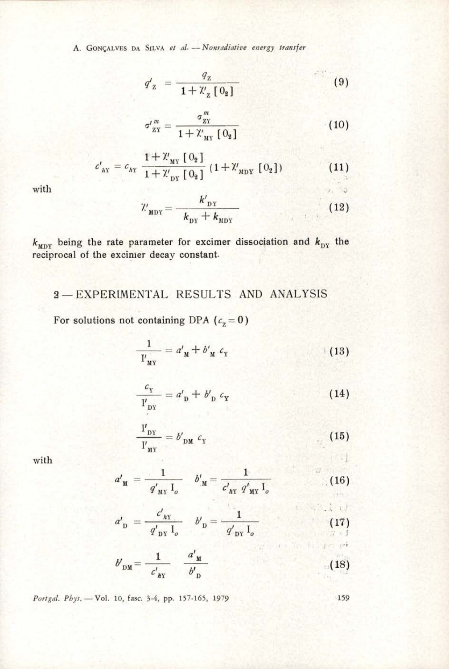A. GONÇALVES DA SILVA et al. -- Nonradiative energy transfer

$$
q'_{z} = \frac{q_{z}}{1 + \mathcal{X}_{z} [0_{z}]} \tag{9}
$$

$$
\sigma_{_{\mathbf{Z}\mathbf{Y}}}^{\prime \, m} = \frac{\sigma_{_{\mathbf{Z}\mathbf{Y}}}^m}{1 + \mathcal{X}_{_{\mathbf{M}\mathbf{Y}}} \, [\, \mathbf{0}_2\, ]} \tag{10}
$$

$$
c'_{\text{AY}} = c_{\text{HY}} \frac{1 + \mathcal{X}_{\text{MY}} \left[ 0_2 \right]}{1 + \mathcal{X}_{\text{DY}} \left[ 0_2 \right]} \left( 1 + \mathcal{X}_{\text{MDY}} \left[ 0_2 \right] \right) \tag{11}
$$

with

$$
\mathcal{U}_{\text{MDY}} = \frac{k'_{\text{DY}}}{k_{\text{DY}} + k_{\text{MDY}}}
$$
 (12)

 $k_{\text{MDY}}$  being the rate parameter for excimer dissociation and  $k_{\text{DY}}$  the reciprocal of the excimer decay constant.

## 3-EXPERIMENTAL RESULTS AND ANALYSIS

For solutions not containing DPA ( $c_2 = 0$ )

$$
\frac{1}{I'_{\text{MY}}} = a'_{\text{M}} + b'_{\text{M}} c_{\text{Y}} \tag{13}
$$

$$
\frac{c_{\mathbf{Y}}}{\mathbf{I'}_{\mathbf{DY}}} = a'_{\mathbf{D}} + b'_{\mathbf{D}} c_{\mathbf{Y}}
$$
 (14)

$$
\frac{I'_{DY}}{I'_{MY}} = b'_{DM} c_Y \tag{15}
$$

with

$$
\mathcal{L}_{\mathcal{A}}
$$

 $\mathcal{L}$ 

seal of a final started

 $1.93$ 

$$
a'_{\mathbf{M}} = \frac{1}{q'_{\mathbf{M} \mathbf{Y}} \mathbf{I}_o} \quad b'_{\mathbf{M}} = \frac{1}{c'_{\mathbf{M} \mathbf{Y}} q'_{\mathbf{M} \mathbf{Y}} \mathbf{I}_o}
$$
(16)

$$
a'_{\text{D}} = \frac{c'_{h\text{Y}}}{q'_{\text{DY}} I_o} \quad b'_{\text{D}} = \frac{1}{q'_{\text{DY}} I_o} \tag{17}
$$

$$
b'_{\text{DM}} = \frac{1}{c'_{\text{IV}}} \quad \frac{a'_{\text{M}}}{b'_{\text{D}}} \tag{18}
$$

Portgal. Phys. - Vol. 10, fasc. 3-4, pp. 157-165, 1979

159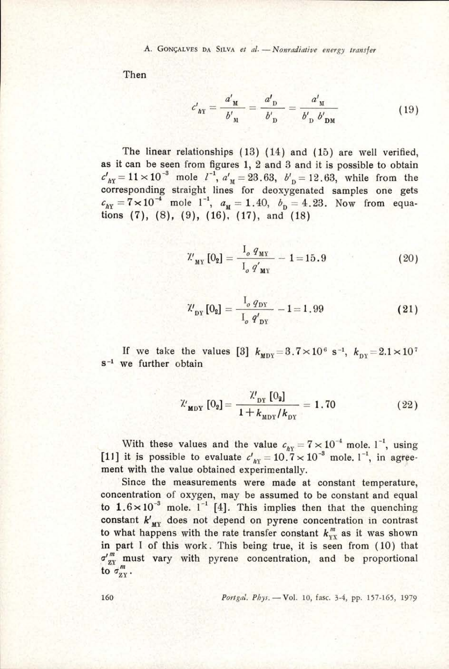A. GONÇALVES DA SILVA et al. - Nonradiative energy transfer

Then

$$
\varepsilon'_{\text{ny}} = \frac{a'_{\text{ny}}}{b'_{\text{ny}}} = \frac{a'_{\text{D}}}{b'_{\text{D}}} = \frac{a'_{\text{ny}}}{b'_{\text{D}}} = \frac{a'_{\text{ny}}}{b'_{\text{D}}b'_{\text{DM}}} \tag{19}
$$

The linear relationships (13) (14) and (15) are well verified, as it can be seen from figures 1, 2 and 3 and it is possible to obtain  $c'_{h\text{x}} = 11 \times 10^{-3}$  mole  $l^{-1}$ ,  $a'_{\text{M}} = 23.63$ ,  $b'_{\text{D}} = 12.63$ , while from the corresponding straight lines for deoxygenated samples one gets  $\epsilon_{xy} = 7 \times 10^{-4}$  mole 1<sup>-1</sup>,  $a_y = 1.40$ ,  $b_y = 4.23$ . Now from equations (7), (8), (9), (16), (17), and (18)

$$
\mathcal{X}'_{\mathbf{M}\mathbf{Y}}\left[0_{2}\right] = \frac{I_{o} \, q_{\mathbf{M}\mathbf{Y}}}{I_{o} \, q'_{\mathbf{M}\mathbf{Y}}} - 1 = 15.9 \tag{20}
$$

$$
\mathcal{W}_{\text{DY}}\left[0_{2}\right] = \frac{1_{o} q_{\text{DY}}}{I_{o} q_{\text{DY}}'} - 1 = 1.99\tag{21}
$$

If we take the values [3]  $k_{\text{MDY}} = 3.7 \times 10^6 \text{ s}^{-1}$ ,  $k_{\text{DY}} = 2.1 \times 10^7 \text{ s}^{-1}$  we further obtain

$$
\mathcal{X}_{\mathbf{M}DY} [0_2] = \frac{\mathcal{X}_{DY} [0_2]}{1 + k_{\mathbf{M}DY} / k_{\mathbf{D}Y}} = 1.70
$$
 (22)

With these values and the value  $c_{\text{av}} = 7 \times 10^{-4}$  mole. 1<sup>-1</sup>, using [11] it is possible to evaluate  $c'$ , = 10.7 × 10<sup>-3</sup> mole. 1<sup>-1</sup>, in agreement with the value obtained experimentally.

Since the measurements were made at constant temperature, concentration of oxygen, may be assumed to be constant and equal to  $1.6 \times 10^{-3}$  mole.  $1^{-1}$  [4]. This implies then that the quenching constant  $k'_{\text{MV}}$  does not depend on pyrene concentration in contrast to what happens with the rate transfer constant  $k_{yx}^m$  as it was shown in part I of this work. This being true, it is seen from (10) that  $\sigma_{ZY}^{\prime m}$  must vary with pyrene concentration, and be proportional to  $\sigma_{XY}^m$ .

160 Portgal. Phys. — Vol. 10, fasc. 3-4, pp. 157-165, 1979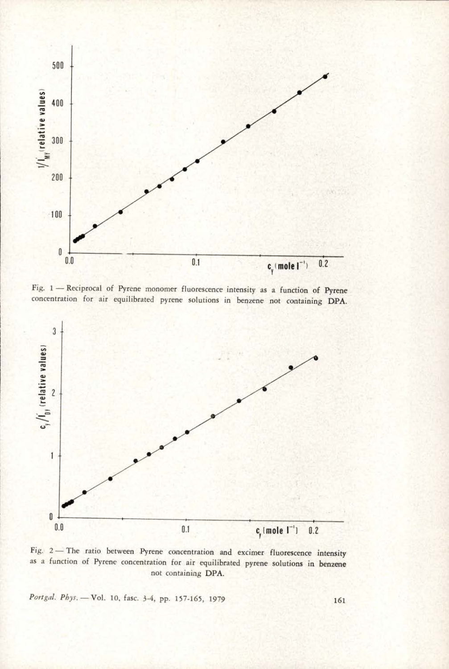

<sup>|</sup>Fig. 1— Reciprocal of Pyrene monomer fluorescence intensity as a function of Pyrene : concentration for air equilibrated pyrene solutions in benzene not containing DPA.



Fig. 2— The ratio between Pyrene concentration and excimer fluorescence intensity as a function of Pyrene concentration for air equilibrated pyrene solutions in benzene not containing DPA.

Portgal. Phys. - Vol. 10, fasc. 3-4, pp. 157-165, 1979 161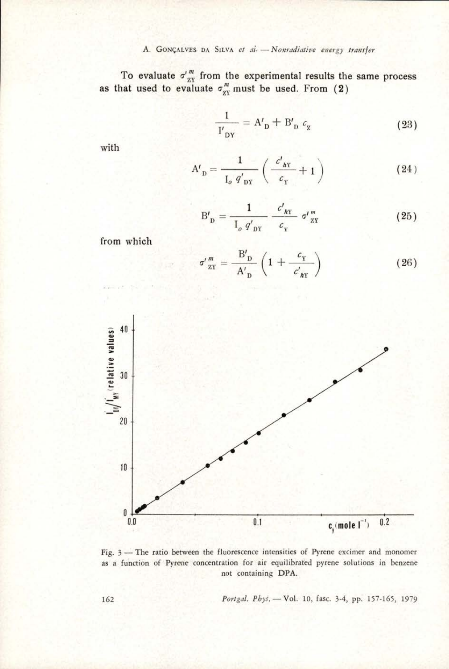To evaluate  $\sigma''_{zx}$  from the experimental results the same process as that used to evaluate  $\sigma'''_{zx}$  must be used. From (2)

$$
\frac{1}{I'_{DY}} = A'_D + B'_D c_g \tag{23}
$$

with

$$
A'_{\text{D}} = \frac{1}{I_o \ q'_{\text{DY}}} \left( \frac{c'_{\text{AY}}}{c_{\text{Y}}} + 1 \right)
$$
 (24)

$$
B'_{\text{D}} = \frac{1}{I_o \ q'_{\text{DY}}} \frac{c'_{\text{AY}}}{c_{\text{Y}}} \ \sigma'_{\text{ZY}}^{\text{m}} \tag{25}
$$

from which

$$
\sigma' \frac{m}{zY} = \frac{B'_{D}}{A'_{D}} \left( 1 + \frac{c_{Y}}{c'_{AY}} \right) \tag{26}
$$



Fig. 3 - The ratio between the fluorescence intensities of Pyrene excimer and monomer as a function of Pyrene concentration for air equilibrated pyrene solutions in benzene not containing DPA.

Portgal. Phys. - Vol. 10, fasc. 3-4, pp. 157-165, 1979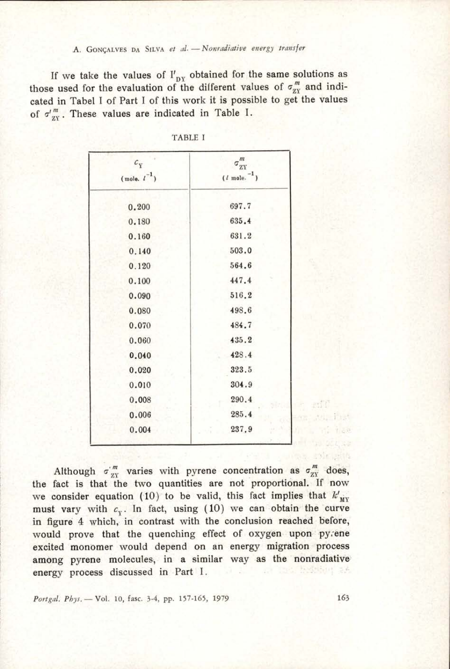#### A. GONÇALVES DA SILVA et al. - Nonradiative energy transfer

\_\_\_\_\_\_\_

If we take the values of  $I'_{\text{ny}}$  obtained for the same solutions as those used for the evaluation of the different values of  $\sigma_{XY}^m$  and indicated in Tabel I of Part I of this work it is possible to get the values of  $\sigma''_{xy}$ . These values are indicated in Table I. GONGALVES DA SILVA *et al.*<br>
ke the values of  $I'_{DY}$ <br>
by the evaluation of the evaluation of the evaluation of the set of this was values are indicate GONÇALVES DA SILVA *et al.*<br>
ke the values of  $I'_{DY}$ <br>
or the evaluation of the<br>
el I of Part I of this w<br>
se values are indicate<br>
TAB<br>  $C_Y$ <br>
(mole.  $l^{-1}$ )

| $c_{\scriptscriptstyle \rm Y}$ | $\sigma_{\rm ZY}^m$      |
|--------------------------------|--------------------------|
| (mole. $\iota^{-1}$ )          | $(l \text{ mole.}^{-1})$ |
| 0.200                          | 697.7                    |
| 0.180                          | 635.4                    |
| 0.160                          | 631.2                    |
| 0.140                          | 503.0                    |
| 0.120                          | 564.6                    |
| 0.100                          | 447.4                    |
| 0.090                          | 516.2                    |
| 0.080                          | 498.6                    |
| 0.070                          | 484.7                    |
| 0.060                          | 435.2                    |
| 0.040                          | 428.4                    |
| 0.020                          | 323.5                    |
| 0.010                          | 304.9                    |
| 0.008                          | 290.4                    |
| 0.006                          | 285.4                    |
| 0.004                          | 237.9                    |
|                                |                          |

| <b>TABLE I</b> |  |  |
|----------------|--|--|
|                |  |  |

Although  $\sigma_{\text{XY}}^{\prime m}$  varies with pyrene concentration as  $\sigma_{\text{ZY}}^m$  does, the fact is that the two quantities are not proportional. If now we consider equation (10) to be valid, this fact implies that  $k'_{\text{div}}$ must vary with  $c_y$ . In fact, using (10) we can obtain the curve in figure 4 which, in contrast with the conclusion reached before, would prove that the quenching effect of oxygen upon pyrene excited monomer would depend on an energy migration process among pyrene molecules, in a similar way as the nonradiative energy process discussed in Part I. **College** 

Portgal. Phys. - Vol. 10, fasc. 3-4, pp. 157-165, 1979 163

e edit an rei fiet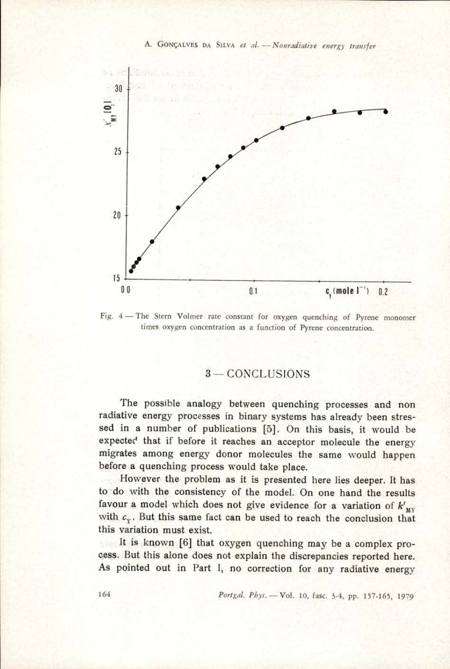A. GONGALVES Da SiLva et al. —- Nonradiative energy transfer



Fig. 4— The Stern Volmer rate constant for oxygen quenching of Pyrene monomer times oxygen concentration as a function of Pyrene concentration.

## 3 — CONCLUSIONS

The possible analogy between quenching processes and non radiative energy processes in binary systems has already been stressed in a number of publications [5]. On this basis, it would be expected that if before it reaches an acceptor molecule the energy migrates among energy donor molecules the same would happen before a quenching process would take place.

However the problem as it is presented here lies deeper. It has to'do with the consistency of the model. On one hand the results favour a model which does not give evidence for a variation of  $k'_{\text{MV}}$ with  $c_y$ . But this same fact can be used to reach the conclusion that this variation must exist.

It is known [6] that oxygen quenching may be a complex process. But this alone does not explain the discrepancies reported here. As pointed out in Part I, no correction for any radiative energy